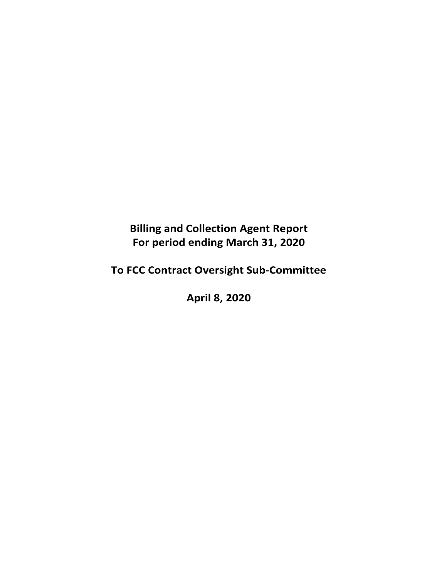**Billing and Collection Agent Report For period ending March 31, 2020** 

**To FCC Contract Oversight Sub‐Committee** 

**April 8, 2020**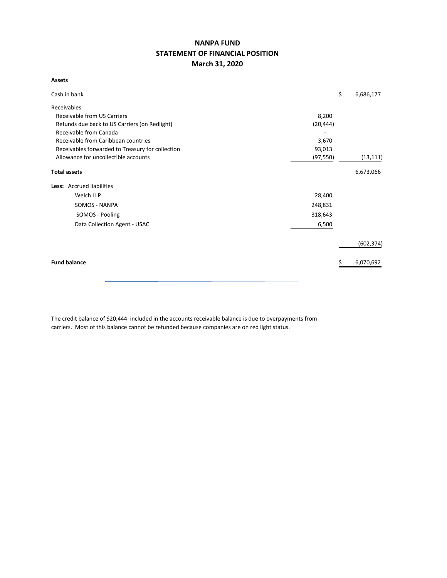# **NANPA FUND STATEMENT OF FINANCIAL POSITION March 31, 2020**

## **Assets**

| Cash in bank                                     |           | \$<br>6,686,177 |
|--------------------------------------------------|-----------|-----------------|
| Receivables                                      |           |                 |
| <b>Receivable from US Carriers</b>               | 8,200     |                 |
| Refunds due back to US Carriers (on Redlight)    | (20, 444) |                 |
| Receivable from Canada                           |           |                 |
| Receivable from Caribbean countries              |           |                 |
| Receivables forwarded to Treasury for collection | 93,013    |                 |
| Allowance for uncollectible accounts             | (97, 550) | (13, 111)       |
| <b>Total assets</b>                              |           | 6,673,066       |
| Less: Accrued liabilities                        |           |                 |
| Welch LLP                                        | 28,400    |                 |
| SOMOS - NANPA                                    | 248,831   |                 |
| SOMOS - Pooling                                  | 318,643   |                 |
| Data Collection Agent - USAC                     | 6,500     |                 |
|                                                  |           | (602, 374)      |
| <b>Fund balance</b>                              |           | 6,070,692       |

The credit balance of \$20,444 included in the accounts receivable balance is due to overpayments from carriers. Most of this balance cannot be refunded because companies are on red light status.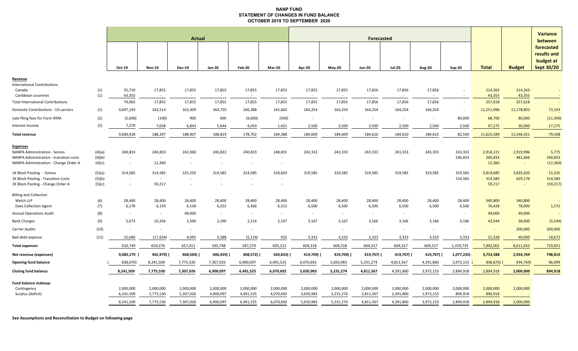#### **NANP FUND STATEMENT OF CHANGES IN FUND BALANCE OCTOBER 2019 TO SEPTEMBER 2020**

|                                                                 |        |                          |                  |                                    |                                    |                          |                   |           |               |               |               |                          |                          |                   |                          | <b>Variance</b>   |
|-----------------------------------------------------------------|--------|--------------------------|------------------|------------------------------------|------------------------------------|--------------------------|-------------------|-----------|---------------|---------------|---------------|--------------------------|--------------------------|-------------------|--------------------------|-------------------|
|                                                                 |        | Actual                   |                  |                                    |                                    |                          | <b>Forecasted</b> |           |               |               |               |                          |                          |                   | between                  |                   |
|                                                                 |        |                          |                  |                                    |                                    |                          |                   |           |               |               |               |                          |                          |                   |                          | forecasted        |
|                                                                 |        |                          |                  |                                    |                                    |                          |                   |           |               |               |               |                          |                          |                   |                          | results and       |
|                                                                 |        |                          |                  |                                    |                                    |                          |                   |           |               |               |               |                          |                          |                   |                          | budget at         |
|                                                                 |        | Oct-19                   | <b>Nov-19</b>    | <b>Dec-19</b>                      | Jan-20                             | Feb-20                   | <b>Mar-20</b>     | Apr-20    | <b>May-20</b> | <b>Jun-20</b> | <b>Jul-20</b> | Aug-20                   | <b>Sep-20</b>            | <b>Total</b>      | <b>Budget</b>            | <b>Sept 30/20</b> |
| Revenue                                                         |        |                          |                  |                                    |                                    |                          |                   |           |               |               |               |                          |                          |                   |                          |                   |
| <b>International Contributions</b>                              |        |                          |                  |                                    |                                    |                          |                   |           |               |               |               |                          |                          |                   |                          |                   |
| Canada                                                          | (1)    | 35,710                   | 17,855           | 17,855                             | 17,855                             | 17,855                   | 17,855            | 17,855    | 17,855        | 17,856        | 17,856        | 17,856                   |                          | 214,263           | 214,263                  |                   |
| Caribbean countries<br><b>Total International Contributions</b> | (1)    | 43,355<br>79,065         | $\sim$<br>17,855 | $\overline{\phantom{a}}$<br>17,855 | $\overline{\phantom{a}}$<br>17,855 | $\sim$<br>17,855         | 17,855            | 17,855    | 17,855        | 17,856        | 17,856        | 17,856                   |                          | 43,355<br>257,618 | 43,355<br>257,618        |                   |
| Domestic Contributions - US carriers                            |        | 9,607,193                | 163,514          | 163,309                            | 164,720                            | 166,388                  | 165,602           | 164,254   | 164,254       | 164,254       | 164,254       | 164,254                  |                          | 11,251,996        | 11,178,803               | 73,193            |
|                                                                 | (1)    |                          |                  |                                    |                                    |                          |                   |           |               |               |               |                          |                          |                   |                          |                   |
| Late filing fees for Form 499A                                  | (2)    | (2,600)                  | (100)            | 900                                | 600                                | (9,600)                  | (500)             | $\sim$    | $\sim$        | $\sim$        | $\sim$        | $\overline{\phantom{a}}$ | 80,000                   | 68,700            | 80,000                   | (11, 300)         |
| Interest income                                                 | (3)    | 7,270                    | 7,028            | 6,843                              | 5,644                              | 4,059                    | 1,431             | 2,500     | 2,500         | 2,500         | 2,500         | 2,500                    | 2,500                    | 47,275            | 30,000                   | 17,275            |
| <b>Total revenue</b>                                            |        | 9,690,928                | 188,297          | 188,907                            | 188,819                            | 178,702                  | 184,388           | 184,609   | 184,609       | 184,610       | 184,610       | 184,610                  | 82,500                   | 11,625,589        | 11,546,421               | 79,168            |
| <b>Expenses</b>                                                 |        |                          |                  |                                    |                                    |                          |                   |           |               |               |               |                          |                          |                   |                          |                   |
| <b>NANPA Administration - Somos</b>                             | (4)(a) | 240,833                  | 240,833          | 242,060                            | 240,833                            | 240,833                  | 248,831           | 243,333   | 243,333       | 243,333       | 243,333       | 243,333                  | 243,333                  | 2,914,221         | 2,919,996                | 5,775             |
| NANPA Administration - transition costs                         | (4)(b) | $\sim$                   | $\sim$           | $\overline{\phantom{a}}$           |                                    |                          |                   |           |               |               |               |                          | 240,833                  | 240,833           | 481,666                  | 240,833           |
| NANPA Administration - Change Order A                           | (4)(c) | $\sim$                   | 12,360           | $\overline{\phantom{a}}$           |                                    | $\overline{\phantom{a}}$ | $\sim$            |           |               |               |               |                          |                          | 12,360            | $\sim$                   | (12, 360)         |
| 1K Block Pooling - Somos                                        | (5)(a) | 314,585                  | 314,585          | 325,192                            | 314,585                            | 314,585                  | 318,643           | 319,585   | 319,585       | 319,585       | 319,585       | 319,585                  | 319,585                  | 3,819,685         | 3,835,020                | 15,335            |
| 1K Block Pooling - Transition Costs                             | (5)(b) | $\sim$                   | $\sim$           | $\overline{\phantom{a}}$           |                                    |                          |                   |           |               |               |               |                          | 314,585                  | 314,585           | 629,170                  | 314,585           |
| 1K Block Pooling - Change Order A                               | (5)(c) | $\overline{\phantom{a}}$ | 59,217           |                                    |                                    |                          |                   |           |               |               |               |                          |                          | 59,217            | $\overline{\phantom{a}}$ | (59, 217)         |
| <b>Billing and Collection</b>                                   |        |                          |                  |                                    |                                    |                          |                   |           |               |               |               |                          |                          |                   |                          |                   |
| Welch LLP                                                       | (6)    | 28,400                   | 28,400           | 28,400                             | 28,400                             | 28,400                   | 28,400            | 28,400    | 28,400        | 28,400        | 28,400        | 28,400                   | 28,400                   | 340,800           | 340,800                  | $\sim$            |
| Data Collection Agent                                           | (7)    | 6,178                    | 6,159            | 6,158                              | 6,252                              | 6,366                    | 6,315             | 6,500     | 6,500         | 6,500         | 6,500         | 6,500                    | 6,500                    | 76,428            | 78,000                   | 1,572             |
| <b>Annual Operations Audit</b>                                  | (8)    | $\sim$                   | $\sim$           | 49,000                             | $\overline{\phantom{a}}$           | $\overline{\phantom{a}}$ |                   | $\sim$    |               | $\sim$        | $\sim$        |                          |                          | 49,000            | 49,000                   |                   |
| <b>Bank Charges</b>                                             | (9)    | 5,073                    | 10,356           | 2,506                              | 2,290                              | 2,214                    | 2,107             | 3,167     | 3,167         | 3,166         | 3,166         | 3,166                    | 3,166                    | 43,544            | 38,000                   | (5, 544)          |
| <b>Carrier Audits</b>                                           | (10)   | $\sim$                   | $\sim$           | $\sim$                             | $\sim$                             | $\overline{\phantom{a}}$ |                   |           | $\sim$        | $\sim$        | $\sim$        | $\sim$                   | $\overline{\phantom{a}}$ | $\sim$            | 200,000                  | 200,000           |
| Bad debt expense                                                | (11)   | 15,680                   | (17, 634)        | 4,095                              | 3,388                              | (5, 124)                 | 925               | 3,333     | 3,333         | 3,333         | 3,333         | 3,333                    | 3,333                    | 21,328            | 40,000                   | 18,672            |
| <b>Total expenses</b>                                           |        | 610,749                  | 654,276          | 657,411                            | 595,748                            | 587,274                  | 605,221           | 604,318   | 604,318       | 604,317       | 604,317       | 604,317                  | 1,159,735                | 7,892,001         | 8,611,652                | 719,651           |
| Net revenue (expenses)                                          |        | 9,080,179                | 465,979)         | 468,504) (                         | 406,929) (                         | 408,572) (               | 420,833)          | 419,709)  | 419,709) (    | 419,707)      | 419,707) (    | 419,707)                 | 1,077,235)               | 3,733,588         | 2,934,769                | 798,819           |
| <b>Opening fund balance</b>                                     |        | 838,670)                 | 8,241,509        | 7,775,530                          | 7,307,026                          | 6,900,097                | 6,491,525         | 6,070,692 | 5,650,983     | 5,231,274     | 4,811,567     | 4,391,860                | 3,972,153                | 838,670)          | 934,769)                 | 96,099            |
| <b>Closing fund balance</b>                                     |        | 8,241,509                | 7,775,530        | 7,307,026                          | 6,900,097                          | 6,491,525                | 6,070,692         | 5,650,983 | 5,231,274     | 4,811,567     | 4,391,860     | 3,972,153                | 2,894,918                | 2,894,918         | 2,000,000                | 894,918           |
|                                                                 |        |                          |                  |                                    |                                    |                          |                   |           |               |               |               |                          |                          |                   |                          |                   |
| Fund balance makeup:<br>Contingency                             |        | 2,000,000                | 2,000,000        | 2,000,000                          | 2,000,000                          | 2,000,000                | 2,000,000         | 2,000,000 | 2,000,000     | 2,000,000     | 2,000,000     | 2,000,000                | 2,000,000                | 2,000,000         | 2,000,000                |                   |
| Surplus (deficit)                                               |        | 6,241,509                | 5,775,530        | 5,307,026                          | 4,900,097                          | 4,491,525                | 4,070,692         | 3,650,983 | 3,231,274     | 2,811,567     | 2,391,860     | 1,972,153                | 894,918                  | 894,918           |                          |                   |
|                                                                 |        | 8,241,509                | 7,775,530        | 7,307,026                          | 6,900,097                          | 6,491,525                | 6,070,692         | 5,650,983 | 5,231,274     | 4,811,567     | 4,391,860     | 3,972,153                | 2,894,918                | 2,894,918         | 2,000,000                |                   |
|                                                                 |        |                          |                  |                                    |                                    |                          |                   |           |               |               |               |                          |                          |                   |                          |                   |

**See Assumptions and Reconciliation to Budget on following page**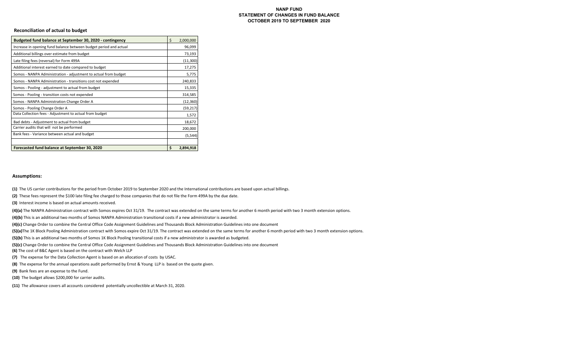#### **NANP FUNDSTATEMENT OF CHANGES IN FUND BALANCE OCTOBER 2019 TO SEPTEMBER 2020**

#### **Reconciliation of actual to budget**

| Budgeted fund balance at September 30, 2020 - contingency         | \$ | 2,000,000 |
|-------------------------------------------------------------------|----|-----------|
| Increase in opening fund balance between budget period and actual |    | 96,099    |
| Additional billings over estimate from budget                     |    | 73,193    |
| Late filing fees (reversal) for Form 499A                         |    | (11,300)  |
| Additional interest earned to date compared to budget             |    | 17,275    |
| Somos - NANPA Administration - adjustment to actual from budget   |    | 5,775     |
| Somos - NANPA Administration - transitions cost not expended      |    | 240,833   |
| Somos - Pooling - adjustment to actual from budget                |    | 15,335    |
| Somos - Pooling - transition costs not expended                   |    | 314,585   |
| Somos - NANPA Administration Change Order A                       |    | (12, 360) |
| Somos - Pooling Change Order A                                    |    | (59, 217) |
| Data Collection fees - Adjustment to actual from budget           |    | 1,572     |
| Bad debts - Adjustment to actual from budget                      |    | 18,672    |
| Carrier audits that will not be performed                         |    | 200,000   |
| Bank fees - Variance between actual and budget                    |    | (5, 544)  |
|                                                                   |    |           |
| Forecasted fund balance at September 30, 2020                     | Ś. | 2,894,918 |

#### **Assumptions:**

**(1)** The US carrier contributions for the period from October 2019 to September 2020 and the International contributions are based upon actual billings.

**(2)** These fees represent the \$100 late filing fee charged to those companies that do not file the Form 499A by the due date.

**(3)** Interest income is based on actual amounts received.

**(4)(a)** The NANPA Administration contract with Somos expires Oct 31/19. The contract was extended on the same terms for another 6 month period with two 3 month extension options.

**(4)(b)** This is an additional two months of Somos NANPA Administration transitional costs if a new administrator is awarded.

(4)(c) Change Order to combine the Central Office Code Assignment Guidelines and Thousands Block Administration Guidelines into one document

**(5)(a)**The 1K Block Pooling Administration contract with Somos expire Oct 31/19. The contract was extended on the same terms for another 6 month period with two 3 month extension options.

**(5)(b)** This is an additional two months of Somos 1K Block Pooling transitional costs if a new administrator is awarded as budgeted.

**(5)(c)** Change Order to combine the Central Office Code Assignment Guidelines and Thousands Block AdministraƟon Guidelines into one document

**(6)** The cost of B&C Agent is based on the contract with Welch LLP

**(7)**  The expense for the Data Collection Agent is based on an allocation of costs by USAC.

**(8)**  The expense for the annual operations audit performed by Ernst & Young LLP is based on the quote given.

**(9)** Bank fees are an expense to the Fund.

**(10)** The budget allows \$200,000 for carrier audits.

**(11)**  The allowance covers all accounts considered potentially uncollectible at March 31, 2020.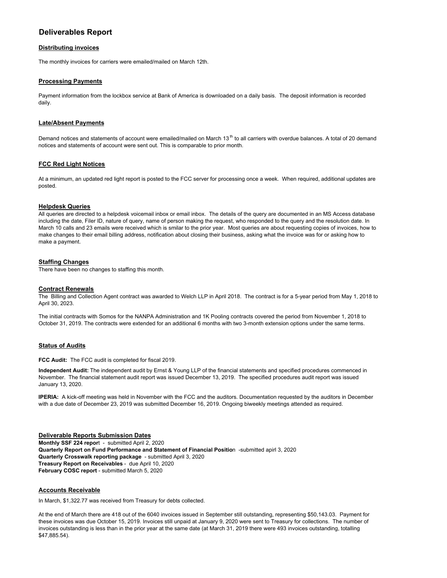## **Deliverables Report**

#### **Distributing invoices**

The monthly invoices for carriers were emailed/mailed on March 12th.

#### **Processing Payments**

Payment information from the lockbox service at Bank of America is downloaded on a daily basis. The deposit information is recorded daily.

#### **Late/Absent Payments**

Demand notices and statements of account were emailed/mailed on March 13<sup>th</sup> to all carriers with overdue balances. A total of 20 demand notices and statements of account were sent out. This is comparable to prior month.

#### **FCC Red Light Notices**

At a minimum, an updated red light report is posted to the FCC server for processing once a week. When required, additional updates are posted.

#### **Helpdesk Queries**

All queries are directed to a helpdesk voicemail inbox or email inbox. The details of the query are documented in an MS Access database including the date, Filer ID, nature of query, name of person making the request, who responded to the query and the resolution date. In March 10 calls and 23 emails were received which is smilar to the prior year. Most queries are about requesting copies of invoices, how to make changes to their email billing address, notification about closing their business, asking what the invoice was for or asking how to make a payment.

#### **Staffing Changes**

There have been no changes to staffing this month.

#### **Contract Renewals**

The Billing and Collection Agent contract was awarded to Welch LLP in April 2018. The contract is for a 5-year period from May 1, 2018 to April 30, 2023.

The initial contracts with Somos for the NANPA Administration and 1K Pooling contracts covered the period from November 1, 2018 to October 31, 2019. The contracts were extended for an additional 6 months with two 3-month extension options under the same terms.

#### **Status of Audits**

**FCC Audit:** The FCC audit is completed for fiscal 2019.

**Independent Audit:** The independent audit by Ernst & Young LLP of the financial statements and specified procedures commenced in November. The financial statement audit report was issued December 13, 2019. The specified procedures audit report was issued January 13, 2020.

**IPERIA:** A kick-off meeting was held in November with the FCC and the auditors. Documentation requested by the auditors in December with a due date of December 23, 2019 was submitted December 16, 2019. Ongoing biweekly meetings attended as required.

#### **Deliverable Reports Submission Dates Monthly SSF 224 repor**t - submitted April 2, 2020 **Quarterly Report on Fund Performance and Statement of Financial Positio**n -submitted apirl 3, 2020 **Quarterly Crosswalk reporting package** - submitted April 3, 2020 **Treasury Report on Receivables** - due April 10, 2020 **February COSC report** - submitted March 5, 2020

#### **Accounts Receivable**

In March, \$1,322.77 was received from Treasury for debts collected.

At the end of March there are 418 out of the 6040 invoices issued in September still outstanding, representing \$50,143.03. Payment for these invoices was due October 15, 2019. Invoices still unpaid at January 9, 2020 were sent to Treasury for collections. The number of invoices outstanding is less than in the prior year at the same date (at March 31, 2019 there were 493 invoices outstanding, totalling \$47,885.54).